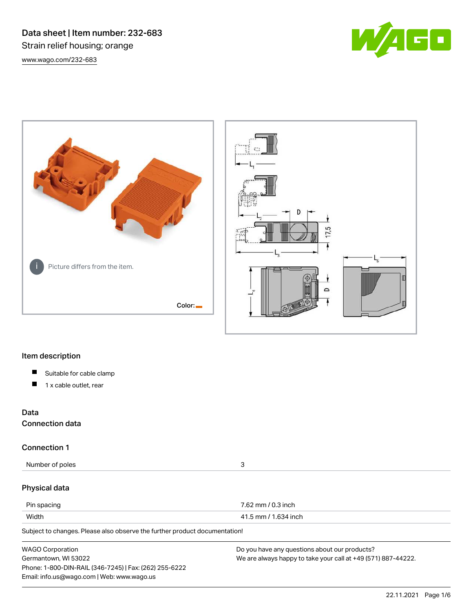Data sheet | Item number: 232-683 Strain relief housing; orange [www.wago.com/232-683](http://www.wago.com/232-683)







# Item description

- $\blacksquare$ Suitable for cable clamp
- $\blacksquare$ 1 x cable outlet, rear

# Data

Connection data

# Connection 1

Number of poles 3

# Physical data

| Pin spacing | 7.62 mm / 0.3 inch   |
|-------------|----------------------|
| Width       | 41.5 mm / 1.634 inch |

Subject to changes. Please also observe the further product documentation!

| <b>WAGO Corporation</b>                                | Do you have any questions about our products?                 |
|--------------------------------------------------------|---------------------------------------------------------------|
| Germantown, WI 53022                                   | We are always happy to take your call at +49 (571) 887-44222. |
| Phone: 1-800-DIN-RAIL (346-7245)   Fax: (262) 255-6222 |                                                               |
| Email: info.us@wago.com   Web: www.wago.us             |                                                               |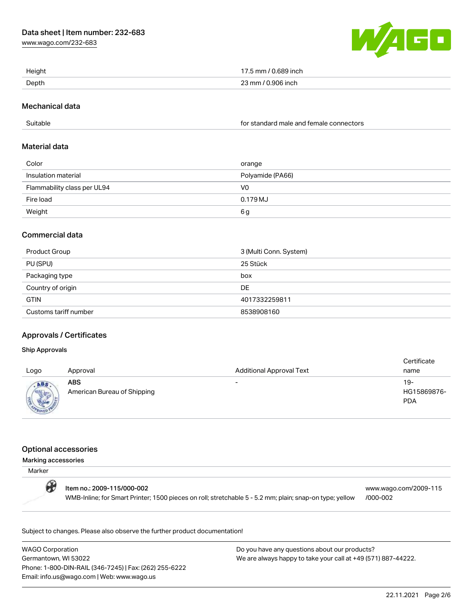[www.wago.com/232-683](http://www.wago.com/232-683)



| Height | 17.5 mm / 0.689 inch |
|--------|----------------------|
| Depth  | 23 mm / 0.906 inch   |

### Mechanical data

Suitable for standard male and female connectors

### Material data

| Color                       | orange           |
|-----------------------------|------------------|
| Insulation material         | Polyamide (PA66) |
| Flammability class per UL94 | V0               |
| Fire load                   | 0.179 MJ         |
| Weight                      | 6g               |

### Commercial data

| Product Group         | 3 (Multi Conn. System) |
|-----------------------|------------------------|
| PU (SPU)              | 25 Stück               |
| Packaging type        | box                    |
| Country of origin     | DE                     |
| <b>GTIN</b>           | 4017332259811          |
| Customs tariff number | 8538908160             |

# Approvals / Certificates

### Ship Approvals

| Logo | Approval                                  | <b>Additional Approval Text</b> | Certificate<br>name              |
|------|-------------------------------------------|---------------------------------|----------------------------------|
| ABS  | <b>ABS</b><br>American Bureau of Shipping | $\overline{\phantom{0}}$        | 19-<br>HG15869876-<br><b>PDA</b> |

### Optional accessories

#### Marking accessories

| Marker |                                                                                                                                       |                                   |
|--------|---------------------------------------------------------------------------------------------------------------------------------------|-----------------------------------|
| O      | Item no.: 2009-115/000-002<br>WMB-Inline; for Smart Printer; 1500 pieces on roll; stretchable 5 - 5.2 mm; plain; snap-on type; yellow | www.wago.com/2009-115<br>/000-002 |

Subject to changes. Please also observe the further product documentation!

WAGO Corporation Germantown, WI 53022 Phone: 1-800-DIN-RAIL (346-7245) | Fax: (262) 255-6222 Email: info.us@wago.com | Web: www.wago.us

Do you have any questions about our products? We are always happy to take your call at +49 (571) 887-44222.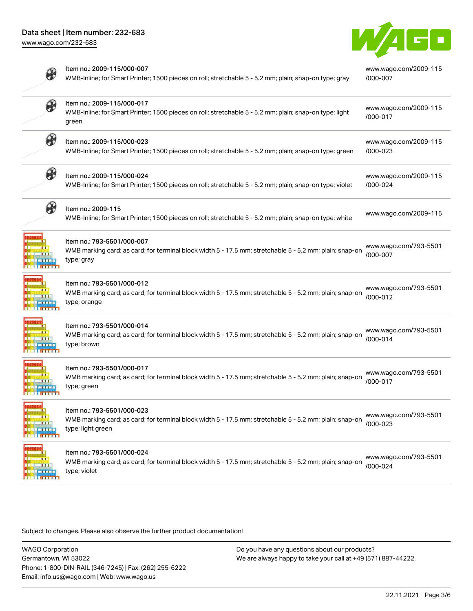

|                       | Item no.: 2009-115/000-007<br>WMB-Inline; for Smart Printer; 1500 pieces on roll; stretchable 5 - 5.2 mm; plain; snap-on type; gray                        | www.wago.com/2009-115<br>/000-007 |
|-----------------------|------------------------------------------------------------------------------------------------------------------------------------------------------------|-----------------------------------|
| $\circledast$         | Item no.: 2009-115/000-017<br>WMB-Inline; for Smart Printer; 1500 pieces on roll; stretchable 5 - 5.2 mm; plain; snap-on type; light<br>green              | www.wago.com/2009-115<br>/000-017 |
| ₩                     | Item no.: 2009-115/000-023<br>WMB-Inline; for Smart Printer; 1500 pieces on roll; stretchable 5 - 5.2 mm; plain; snap-on type; green                       | www.wago.com/2009-115<br>/000-023 |
| $\boldsymbol{\theta}$ | Item no.: 2009-115/000-024<br>WMB-Inline; for Smart Printer; 1500 pieces on roll; stretchable 5 - 5.2 mm; plain; snap-on type; violet                      | www.wago.com/2009-115<br>/000-024 |
| $\partial\!\!\!\!/\,$ | Item no.: 2009-115<br>WMB-Inline; for Smart Printer; 1500 pieces on roll; stretchable 5 - 5.2 mm; plain; snap-on type; white                               | www.wago.com/2009-115             |
|                       | Item no.: 793-5501/000-007<br>WMB marking card; as card; for terminal block width 5 - 17.5 mm; stretchable 5 - 5.2 mm; plain; snap-on<br>type; gray        | www.wago.com/793-5501<br>/000-007 |
|                       | Item no.: 793-5501/000-012<br>WMB marking card; as card; for terminal block width 5 - 17.5 mm; stretchable 5 - 5.2 mm; plain; snap-on<br>type; orange      | www.wago.com/793-5501<br>/000-012 |
|                       | Item no.: 793-5501/000-014<br>WMB marking card; as card; for terminal block width 5 - 17.5 mm; stretchable 5 - 5.2 mm; plain; snap-on<br>type; brown       | www.wago.com/793-5501<br>/000-014 |
|                       | Item no.: 793-5501/000-017<br>WMB marking card; as card; for terminal block width 5 - 17.5 mm; stretchable 5 - 5.2 mm; plain; snap-on<br>type; green       | www.wago.com/793-5501<br>/000-017 |
| <b>ALL 1 1 1</b>      | Item no.: 793-5501/000-023<br>WMB marking card; as card; for terminal block width 5 - 17.5 mm; stretchable 5 - 5.2 mm; plain; snap-on<br>type; light green | www.wago.com/793-5501<br>/000-023 |
|                       | Item no.: 793-5501/000-024<br>WMB marking card; as card; for terminal block width 5 - 17.5 mm; stretchable 5 - 5.2 mm; plain; snap-on<br>type; violet      | www.wago.com/793-5501<br>/000-024 |

Subject to changes. Please also observe the further product documentation!

WAGO Corporation Germantown, WI 53022 Phone: 1-800-DIN-RAIL (346-7245) | Fax: (262) 255-6222 Email: info.us@wago.com | Web: www.wago.us

Do you have any questions about our products? We are always happy to take your call at +49 (571) 887-44222.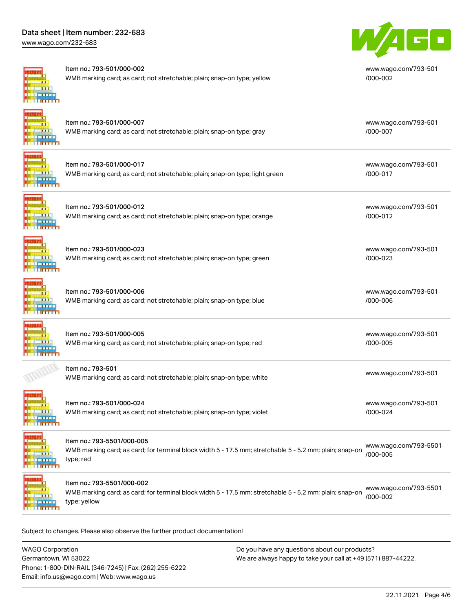# Data sheet | Item number: 232-683

[www.wago.com/232-683](http://www.wago.com/232-683)



#### Item no.: 793-501/000-002

Item no.: 793-501/000-012

Item no.: 793-501/000-023

Item no.: 793-501/000-006

Item no.: 793-501/000-005

Item no.: 793-501

WMB marking card; as card; not stretchable; plain; snap-on type; yellow



[www.wago.com/793-501](http://www.wago.com/793-501/000-002) [/000-002](http://www.wago.com/793-501/000-002)

[www.wago.com/793-501](http://www.wago.com/793-501/000-007)

[www.wago.com/793-501](http://www.wago.com/793-501/000-017)

[/000-007](http://www.wago.com/793-501/000-007)

[/000-017](http://www.wago.com/793-501/000-017)

# Item no.: 793-501/000-007 WMB marking card; as card; not stretchable; plain; snap-on type; gray

 $\mathbf{H}$ **TELETING** 

 $\blacksquare$ 

 $\overline{0}$   $\overline{1}$   $\overline{1}$   $\overline{1}$ 

| Item no.: 793-501/000-017                                                    |
|------------------------------------------------------------------------------|
| WMB marking card; as card; not stretchable; plain; snap-on type; light green |

WMB marking card; as card; not stretchable; plain; snap-on type; orange

WMB marking card; as card; not stretchable; plain; snap-on type; green

WMB marking card; as card; not stretchable; plain; snap-on type; blue

WMB marking card; as card; not stretchable; plain; snap-on type; red

WMB marking card; as card; not stretchable; plain; snap-on type; violet

[www.wago.com/793-501](http://www.wago.com/793-501/000-012)

[/000-012](http://www.wago.com/793-501/000-012)

[www.wago.com/793-501](http://www.wago.com/793-501/000-023) [/000-023](http://www.wago.com/793-501/000-023)

[www.wago.com/793-501](http://www.wago.com/793-501/000-006) [/000-006](http://www.wago.com/793-501/000-006)

[www.wago.com/793-501](http://www.wago.com/793-501/000-005) [/000-005](http://www.wago.com/793-501/000-005)

[www.wago.com/793-501](http://www.wago.com/793-501)<br>WMB marking card; as card; not stretchable; plain; snap-on type; white

[www.wago.com/793-501](http://www.wago.com/793-501/000-024) [/000-024](http://www.wago.com/793-501/000-024)

**TTTT** 

Item no.: 793-5501/000-005

Item no.: 793-501/000-024

WMB marking card; as card; for terminal block width 5 - 17.5 mm; stretchable 5 - 5.2 mm; plain; snap-on type; red [www.wago.com/793-5501](http://www.wago.com/793-5501/000-005) [/000-005](http://www.wago.com/793-5501/000-005)

**ALL LE INTERN** 

Item no.: 793-5501/000-002

WMB marking card; as card; for terminal block width 5 - 17.5 mm; stretchable 5 - 5.2 mm; plain; snap-on type; yellow [www.wago.com/793-5501](http://www.wago.com/793-5501/000-002) [/000-002](http://www.wago.com/793-5501/000-002)

Subject to changes. Please also observe the further product documentation!

WAGO Corporation Germantown, WI 53022 Phone: 1-800-DIN-RAIL (346-7245) | Fax: (262) 255-6222 Email: info.us@wago.com | Web: www.wago.us Do you have any questions about our products? We are always happy to take your call at +49 (571) 887-44222.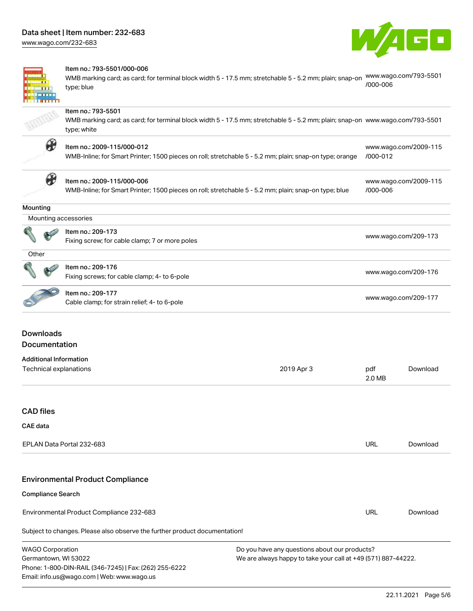[www.wago.com/232-683](http://www.wago.com/232-683)



[www.wago.com/2009-115](http://www.wago.com/2009-115/000-012)

[www.wago.com/2009-115](http://www.wago.com/2009-115/000-006)

[/000-006](http://www.wago.com/2009-115/000-006)



#### Item no.: 793-5501/000-006

WMB marking card; as card; for terminal block width 5 - 17.5 mm; stretchable 5 - 5.2 mm; plain; snap-on [www.wago.com/793-5501](http://www.wago.com/793-5501/000-006) type; blue [/000-006](http://www.wago.com/793-5501/000-006)

### Item no.: 793-5501

WMB marking card; as card; for terminal block width 5 - 17.5 mm; stretchable 5 - 5.2 mm; plain; snap-on [www.wago.com/793-5501](http://www.wago.com/793-5501) type; white

Fixing screws; for cable clamp; 4- to 6-pole [www.wago.com/209-176](http://www.wago.com/209-176)



### Item no.: 2009-115/000-012

WMB-Inline; for Smart Printer; 1500 pieces on roll; stretchable 5 - 5.2 mm; plain; snap-on type; orange [/000-012](http://www.wago.com/2009-115/000-012)



### Item no.: 2009-115/000-006

WMB-Inline; for Smart Printer; 1500 pieces on roll; stretchable 5 - 5.2 mm; plain; snap-on type; blue

#### **Mounting**

|  | Mounting accessories                     |
|--|------------------------------------------|
|  | Item no.: 209-173                        |
|  | Fiving serow: for eable elamp: 7 or more |

| 115111110 2037170                              |                      |
|------------------------------------------------|----------------------|
|                                                | www.wago.com/209-173 |
| Fixing screw; for cable clamp; 7 or more poles |                      |

| ۰.<br>. .<br>٠<br>× |  |
|---------------------|--|
|                     |  |



# Item no.: 209-177

Item no.: 209-176

nem no... 209-177<br>Cable clamp; for strain relief; 4- to 6-pole [www.wago.com/209-177](http://www.wago.com/209-177)

# Downloads Documentation

### Additional Information Technical explanations 2019 Apr 3 pdf 2.0 MB [Download](https://www.wago.com/global/d/1435602)

# CAD files

### CAE data

| EPLAN Data Portal 232-683 | URL | Download |
|---------------------------|-----|----------|
|                           |     |          |

# Environmental Product Compliance

### Compliance Search

Environmental Product Compliance 232-683

Subject to changes. Please also observe the further product documentation!

| WAGO Corporation                                       |  |
|--------------------------------------------------------|--|
| Germantown. WI 53022                                   |  |
| Phone: 1-800-DIN-RAIL (346-7245)   Fax: (262) 255-6222 |  |
| Email: info.us@wago.com   Web: www.wago.us             |  |

Do you have any questions about our products? We are always happy to take your call at +49 (571) 887-44222.

URL [Download](https://www.wago.com/global/d/ComplianceLinkMediaContainer_232-683)